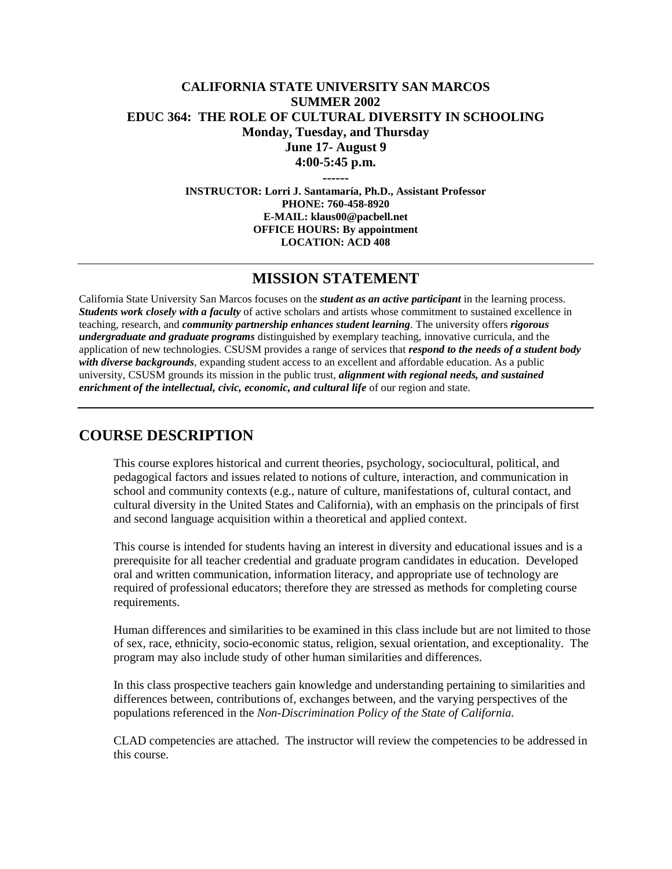# **CALIFORNIA STATE UNIVERSITY SAN MARCOS SUMMER 2002 EDUC 364: THE ROLE OF CULTURAL DIVERSITY IN SCHOOLING Monday, Tuesday, and Thursday June 17- August 9 4:00-5:45 p.m.**

**------**

**INSTRUCTOR: Lorri J. Santamaría, Ph.D., Assistant Professor PHONE: 760-458-8920 E-MAIL: klaus00@pacbell.net OFFICE HOURS: By appointment LOCATION: ACD 408**

# **MISSION STATEMENT**

California State University San Marcos focuses on the *student as an active participant* in the learning process. *Students work closely with a faculty* of active scholars and artists whose commitment to sustained excellence in teaching, research, and *community partnership enhances student learning*. The university offers *rigorous undergraduate and graduate programs* distinguished by exemplary teaching, innovative curricula, and the application of new technologies. CSUSM provides a range of services that *respond to the needs of a student body with diverse backgrounds*, expanding student access to an excellent and affordable education. As a public university, CSUSM grounds its mission in the public trust, *alignment with regional needs, and sustained enrichment of the intellectual, civic, economic, and cultural life* of our region and state.

# **COURSE DESCRIPTION**

This course explores historical and current theories, psychology, sociocultural, political, and pedagogical factors and issues related to notions of culture, interaction, and communication in school and community contexts (e.g., nature of culture, manifestations of, cultural contact, and cultural diversity in the United States and California), with an emphasis on the principals of first and second language acquisition within a theoretical and applied context.

This course is intended for students having an interest in diversity and educational issues and is a prerequisite for all teacher credential and graduate program candidates in education. Developed oral and written communication, information literacy, and appropriate use of technology are required of professional educators; therefore they are stressed as methods for completing course requirements.

Human differences and similarities to be examined in this class include but are not limited to those of sex, race, ethnicity, socio-economic status, religion, sexual orientation, and exceptionality. The program may also include study of other human similarities and differences.

In this class prospective teachers gain knowledge and understanding pertaining to similarities and differences between, contributions of, exchanges between, and the varying perspectives of the populations referenced in the *Non-Discrimination Policy of the State of California.*

CLAD competencies are attached. The instructor will review the competencies to be addressed in this course.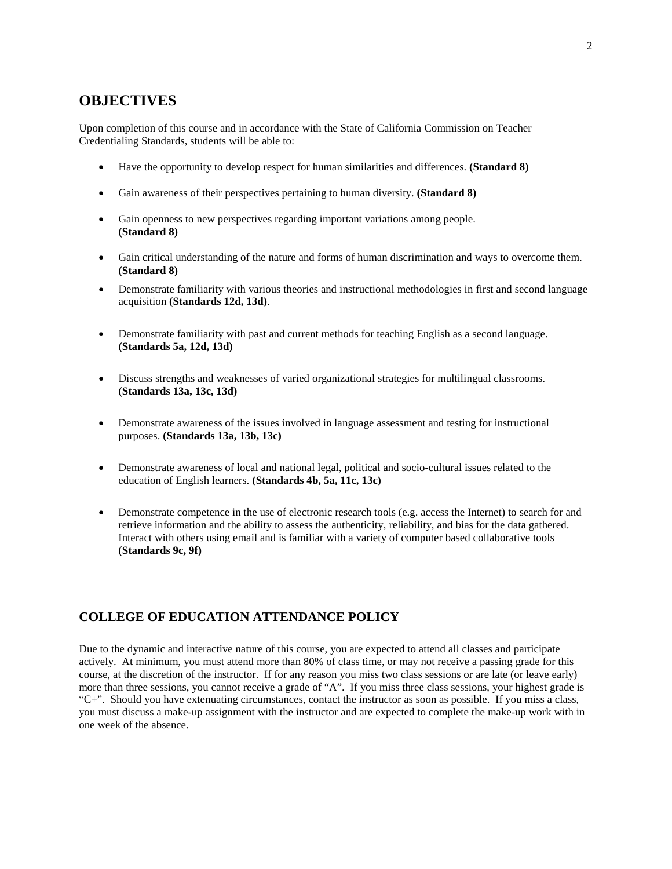# **OBJECTIVES**

Upon completion of this course and in accordance with the State of California Commission on Teacher Credentialing Standards, students will be able to:

- Have the opportunity to develop respect for human similarities and differences. **(Standard 8)**
- Gain awareness of their perspectives pertaining to human diversity. **(Standard 8)**
- Gain openness to new perspectives regarding important variations among people. **(Standard 8)**
- Gain critical understanding of the nature and forms of human discrimination and ways to overcome them. **(Standard 8)**
- Demonstrate familiarity with various theories and instructional methodologies in first and second language acquisition **(Standards 12d, 13d)**.
- Demonstrate familiarity with past and current methods for teaching English as a second language. **(Standards 5a, 12d, 13d)**
- Discuss strengths and weaknesses of varied organizational strategies for multilingual classrooms. **(Standards 13a, 13c, 13d)**
- Demonstrate awareness of the issues involved in language assessment and testing for instructional purposes. **(Standards 13a, 13b, 13c)**
- Demonstrate awareness of local and national legal, political and socio-cultural issues related to the education of English learners. **(Standards 4b, 5a, 11c, 13c)**
- Demonstrate competence in the use of electronic research tools (e.g. access the Internet) to search for and retrieve information and the ability to assess the authenticity, reliability, and bias for the data gathered. Interact with others using email and is familiar with a variety of computer based collaborative tools **(Standards 9c, 9f)**

#### **COLLEGE OF EDUCATION ATTENDANCE POLICY**

Due to the dynamic and interactive nature of this course, you are expected to attend all classes and participate actively. At minimum, you must attend more than 80% of class time, or may not receive a passing grade for this course, at the discretion of the instructor. If for any reason you miss two class sessions or are late (or leave early) more than three sessions, you cannot receive a grade of "A". If you miss three class sessions, your highest grade is "C+". Should you have extenuating circumstances, contact the instructor as soon as possible. If you miss a class, you must discuss a make-up assignment with the instructor and are expected to complete the make-up work with in one week of the absence.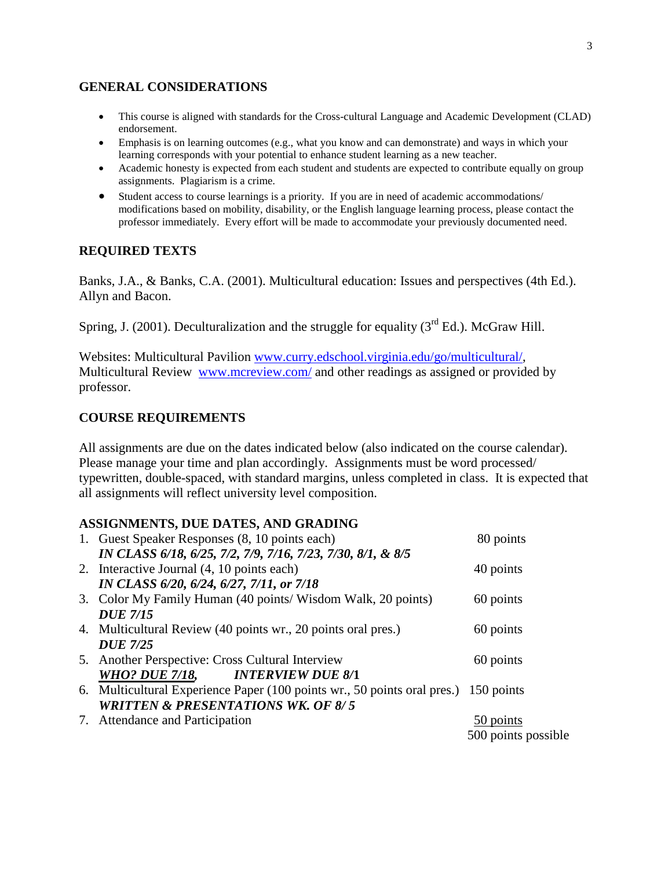## **GENERAL CONSIDERATIONS**

- This course is aligned with standards for the Cross-cultural Language and Academic Development (CLAD) endorsement.
- Emphasis is on learning outcomes (e.g., what you know and can demonstrate) and ways in which your learning corresponds with your potential to enhance student learning as a new teacher.
- Academic honesty is expected from each student and students are expected to contribute equally on group assignments. Plagiarism is a crime.
- Student access to course learnings is a priority. If you are in need of academic accommodations/ modifications based on mobility, disability, or the English language learning process, please contact the professor immediately. Every effort will be made to accommodate your previously documented need.

### **REQUIRED TEXTS**

Banks, J.A., & Banks, C.A. (2001). Multicultural education: Issues and perspectives (4th Ed.). Allyn and Bacon.

Spring, J. (2001). Deculturalization and the struggle for equality  $3<sup>rd</sup>$  Ed.). McGraw Hill.

Websites: Multicultural Pavilion [www.curry.edschool.virginia.edu/go/multicultural/,](http://www.curry.edschool.virginia.edu/go/multicultural/) Multicultural Review [www.mcreview.com/](http://www.mcreview.com/) and other readings as assigned or provided by professor.

## **COURSE REQUIREMENTS**

All assignments are due on the dates indicated below (also indicated on the course calendar). Please manage your time and plan accordingly. Assignments must be word processed/ typewritten, double-spaced, with standard margins, unless completed in class. It is expected that all assignments will reflect university level composition.

### **ASSIGNMENTS, DUE DATES, AND GRADING**

|  | 1. Guest Speaker Responses (8, 10 points each)                                      | 80 points           |
|--|-------------------------------------------------------------------------------------|---------------------|
|  | IN CLASS 6/18, 6/25, 7/2, 7/9, 7/16, 7/23, 7/30, 8/1, & 8/5                         |                     |
|  | 2. Interactive Journal (4, 10 points each)                                          | 40 points           |
|  | IN CLASS 6/20, 6/24, 6/27, 7/11, or 7/18                                            |                     |
|  | 3. Color My Family Human (40 points/ Wisdom Walk, 20 points)                        | 60 points           |
|  | <b>DUE 7/15</b>                                                                     |                     |
|  | 4. Multicultural Review (40 points wr., 20 points oral pres.)                       | 60 points           |
|  | <b>DUE 7/25</b>                                                                     |                     |
|  | 5. Another Perspective: Cross Cultural Interview                                    | 60 points           |
|  | WHO? DUE 7/18, INTERVIEW DUE 8/1                                                    |                     |
|  | 6. Multicultural Experience Paper (100 points wr., 50 points oral pres.) 150 points |                     |
|  | <b>WRITTEN &amp; PRESENTATIONS WK. OF 8/5</b>                                       |                     |
|  | 7. Attendance and Participation                                                     | 50 points           |
|  |                                                                                     | 500 points possible |
|  |                                                                                     |                     |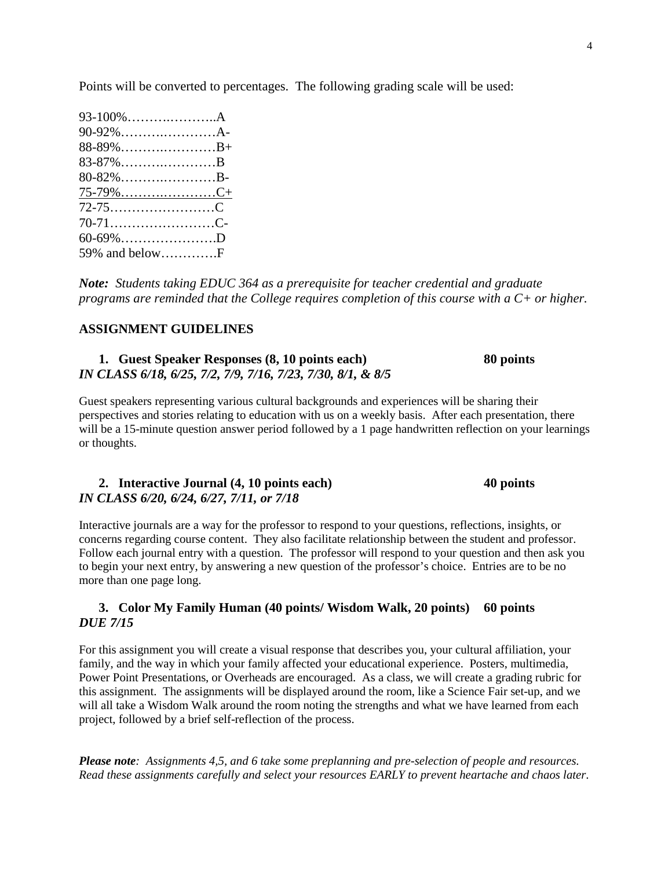Points will be converted to percentages. The following grading scale will be used:

| 80-82%B-         |  |
|------------------|--|
| 75-7 <u>9%C+</u> |  |
|                  |  |
|                  |  |
| $60 - 69\%$ D    |  |
|                  |  |

*Note: Students taking EDUC 364 as a prerequisite for teacher credential and graduate programs are reminded that the College requires completion of this course with a C+ or higher.*

#### **ASSIGNMENT GUIDELINES**

#### **1. Guest Speaker Responses (8, 10 points each) 80 points** *IN CLASS 6/18, 6/25, 7/2, 7/9, 7/16, 7/23, 7/30, 8/1, & 8/5*

Guest speakers representing various cultural backgrounds and experiences will be sharing their perspectives and stories relating to education with us on a weekly basis. After each presentation, there will be a 15-minute question answer period followed by a 1 page handwritten reflection on your learnings or thoughts.

| 2. Interactive Journal (4, 10 points each) | 40 points |
|--------------------------------------------|-----------|
| IN CLASS 6/20, 6/24, 6/27, 7/11, or 7/18   |           |

Interactive journals are a way for the professor to respond to your questions, reflections, insights, or concerns regarding course content. They also facilitate relationship between the student and professor. Follow each journal entry with a question. The professor will respond to your question and then ask you to begin your next entry, by answering a new question of the professor's choice. Entries are to be no more than one page long.

#### **3. Color My Family Human (40 points/ Wisdom Walk, 20 points) 60 points** *DUE 7/15*

For this assignment you will create a visual response that describes you, your cultural affiliation, your family, and the way in which your family affected your educational experience. Posters, multimedia, Power Point Presentations, or Overheads are encouraged. As a class, we will create a grading rubric for this assignment. The assignments will be displayed around the room, like a Science Fair set-up, and we will all take a Wisdom Walk around the room noting the strengths and what we have learned from each project, followed by a brief self-reflection of the process.

*Please note: Assignments 4,5, and 6 take some preplanning and pre-selection of people and resources. Read these assignments carefully and select your resources EARLY to prevent heartache and chaos later*.